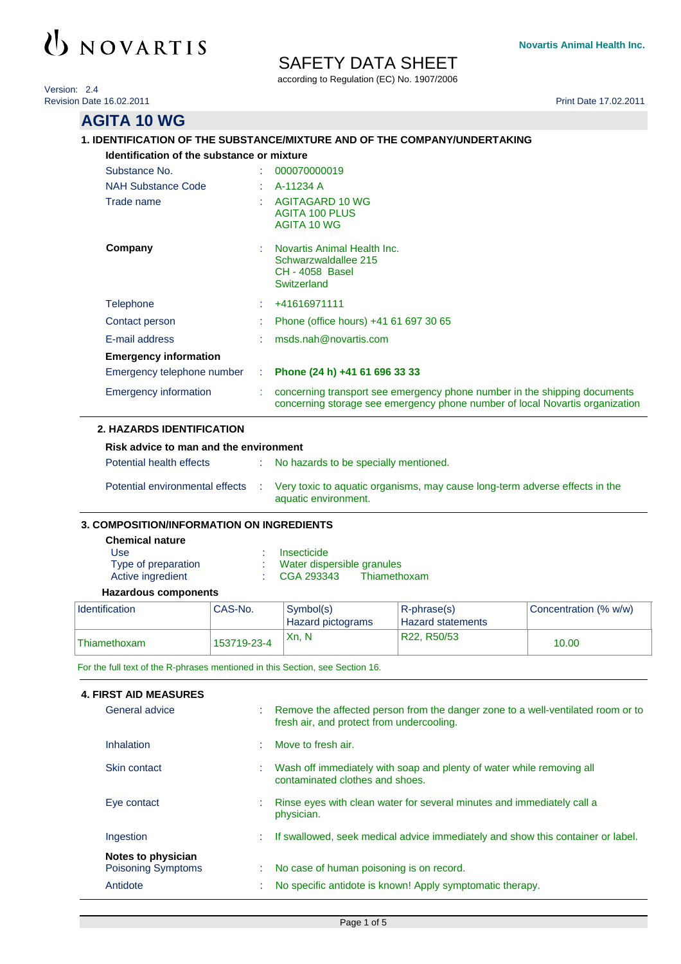

# SAFETY DATA SHEET

according to Regulation (EC) No. 1907/2006

**Novartis Animal Health Inc.**

Version: 2.4 Revision Date 16.02.2011 Print Date 17.02.2011

# **AGITA 10 WG**

|                                            |      | 1. IDENTIFICATION OF THE SUBSTANCE/MIXTURE AND OF THE COMPANY/UNDERTAKING                                                                                 |
|--------------------------------------------|------|-----------------------------------------------------------------------------------------------------------------------------------------------------------|
| Identification of the substance or mixture |      |                                                                                                                                                           |
| Substance No.                              |      | 000070000019                                                                                                                                              |
| <b>NAH Substance Code</b>                  |      | A-11234 A                                                                                                                                                 |
| Trade name                                 |      | AGITAGARD 10 WG<br><b>AGITA 100 PLUS</b><br><b>AGITA 10 WG</b>                                                                                            |
| Company                                    |      | Novartis Animal Health Inc.<br>Schwarzwaldallee 215<br><b>CH-4058 Basel</b><br>Switzerland                                                                |
| <b>Telephone</b>                           |      | +41616971111                                                                                                                                              |
| Contact person                             |      | Phone (office hours) +41 61 697 30 65                                                                                                                     |
| E-mail address                             |      | msds.nah@novartis.com                                                                                                                                     |
| <b>Emergency information</b>               |      |                                                                                                                                                           |
| Emergency telephone number                 | di l | Phone (24 h) +41 61 696 33 33                                                                                                                             |
| Emergency information                      |      | concerning transport see emergency phone number in the shipping documents<br>concerning storage see emergency phone number of local Novartis organization |

### **2. HAZARDS IDENTIFICATION**

### **Risk advice to man and the environment**

| Potential health effects        | No hazards to be specially mentioned.                                                               |
|---------------------------------|-----------------------------------------------------------------------------------------------------|
| Potential environmental effects | Very toxic to aguatic organisms, may cause long-term adverse effects in the<br>aquatic environment. |

## **3. COMPOSITION/INFORMATION ON INGREDIENTS**

| <b>Chemical nature</b> |                            |              |
|------------------------|----------------------------|--------------|
| Use                    | : Insecticide              |              |
| Type of preparation    | Water dispersible granules |              |
| Active ingredient      | $\therefore$ CGA 293343    | Thiamethoxam |

#### **Hazardous components**

| Identification | CAS-No.     | Symbol(s)<br><b>Hazard pictograms</b> | R-phrase(s)<br><b>Hazard statements</b> | Concentration (% w/w) |
|----------------|-------------|---------------------------------------|-----------------------------------------|-----------------------|
| Thiamethoxam   | 153719-23-4 | Xn, N                                 | R <sub>22</sub> , R <sub>50</sub> /53   | 10.00                 |

For the full text of the R-phrases mentioned in this Section, see Section 16.

# Page 1 of 5 **4. FIRST AID MEASURES** General advice : Remove the affected person from the danger zone to a well-ventilated room or to fresh air, and protect from undercooling. Inhalation : Move to fresh air. Skin contact **in the contact** : Wash off immediately with soap and plenty of water while removing all contaminated clothes and shoes. Eye contact : Rinse eyes with clean water for several minutes and immediately call a physician. Ingestion : If swallowed, seek medical advice immediately and show this container or label. **Notes to physician**  Poisoning Symptoms : No case of human poisoning is on record. Antidote : No specific antidote is known! Apply symptomatic therapy.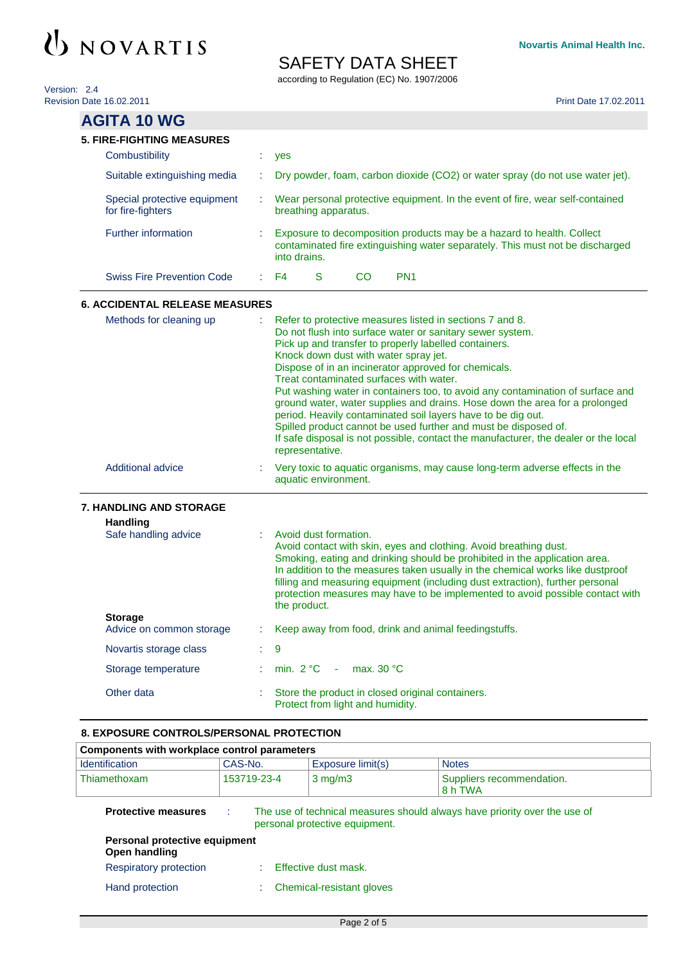# UNOVARTIS

| Version: 2.4                    |
|---------------------------------|
| <b>Revision Date 16.02.2011</b> |
| AGITA 10 WG                     |

#### **Novartis Animal Health Inc.**

# SAFETY DATA SHEET

according to Regulation (EC) No. 1907/2006

Revision Date 16.02.2011 Print Date 17.02.2011

| וו טורוט                                          |   |                                                                                                                                                                                                                                                                                                                                                                                                                                                                                                                                                                                                                                                                                                                                          |
|---------------------------------------------------|---|------------------------------------------------------------------------------------------------------------------------------------------------------------------------------------------------------------------------------------------------------------------------------------------------------------------------------------------------------------------------------------------------------------------------------------------------------------------------------------------------------------------------------------------------------------------------------------------------------------------------------------------------------------------------------------------------------------------------------------------|
| <b>5. FIRE-FIGHTING MEASURES</b>                  |   |                                                                                                                                                                                                                                                                                                                                                                                                                                                                                                                                                                                                                                                                                                                                          |
| Combustibility                                    | ÷ | yes                                                                                                                                                                                                                                                                                                                                                                                                                                                                                                                                                                                                                                                                                                                                      |
| Suitable extinguishing media                      |   | Dry powder, foam, carbon dioxide (CO2) or water spray (do not use water jet).                                                                                                                                                                                                                                                                                                                                                                                                                                                                                                                                                                                                                                                            |
| Special protective equipment<br>for fire-fighters | ÷ | Wear personal protective equipment. In the event of fire, wear self-contained<br>breathing apparatus.                                                                                                                                                                                                                                                                                                                                                                                                                                                                                                                                                                                                                                    |
| <b>Further information</b>                        |   | Exposure to decomposition products may be a hazard to health. Collect<br>contaminated fire extinguishing water separately. This must not be discharged<br>into drains.                                                                                                                                                                                                                                                                                                                                                                                                                                                                                                                                                                   |
| <b>Swiss Fire Prevention Code</b>                 |   | S.<br><b>F4</b><br>CO.<br>PN <sub>1</sub>                                                                                                                                                                                                                                                                                                                                                                                                                                                                                                                                                                                                                                                                                                |
| <b>6. ACCIDENTAL RELEASE MEASURES</b>             |   |                                                                                                                                                                                                                                                                                                                                                                                                                                                                                                                                                                                                                                                                                                                                          |
| Methods for cleaning up                           | ÷ | Refer to protective measures listed in sections 7 and 8.<br>Do not flush into surface water or sanitary sewer system.<br>Pick up and transfer to properly labelled containers.<br>Knock down dust with water spray jet.<br>Dispose of in an incinerator approved for chemicals.<br>Treat contaminated surfaces with water.<br>Put washing water in containers too, to avoid any contamination of surface and<br>ground water, water supplies and drains. Hose down the area for a prolonged<br>period. Heavily contaminated soil layers have to be dig out.<br>Spilled product cannot be used further and must be disposed of.<br>If safe disposal is not possible, contact the manufacturer, the dealer or the local<br>representative. |
| Additional advice                                 |   | Very toxic to aquatic organisms, may cause long-term adverse effects in the<br>aquatic environment.                                                                                                                                                                                                                                                                                                                                                                                                                                                                                                                                                                                                                                      |
| <b>7. HANDLING AND STORAGE</b>                    |   |                                                                                                                                                                                                                                                                                                                                                                                                                                                                                                                                                                                                                                                                                                                                          |
| <b>Handling</b><br>Safe handling advice           |   | Avoid dust formation.<br>Avoid contact with skin, eyes and clothing. Avoid breathing dust.<br>Smoking, eating and drinking should be prohibited in the application area.<br>In addition to the measures taken usually in the chemical works like dustproof<br>filling and measuring equipment (including dust extraction), further personal<br>protection measures may have to be implemented to avoid possible contact with<br>the product.                                                                                                                                                                                                                                                                                             |
| <b>Storage</b><br>Advice on common storage        | ÷ | Keep away from food, drink and animal feedingstuffs.                                                                                                                                                                                                                                                                                                                                                                                                                                                                                                                                                                                                                                                                                     |
| Novartis storage class                            |   | 9                                                                                                                                                                                                                                                                                                                                                                                                                                                                                                                                                                                                                                                                                                                                        |
| Storage temperature                               |   | min. $2^{\circ}$ C - max. 30 $^{\circ}$ C                                                                                                                                                                                                                                                                                                                                                                                                                                                                                                                                                                                                                                                                                                |
| Other data                                        |   | Store the product in closed original containers.<br>Protect from light and humidity.                                                                                                                                                                                                                                                                                                                                                                                                                                                                                                                                                                                                                                                     |

## **8. EXPOSURE CONTROLS/PERSONAL PROTECTION**

| <b>Identification</b>                          | CAS-No. | Exposure limit(s)              | <b>Notes</b>                                                              |  |
|------------------------------------------------|---------|--------------------------------|---------------------------------------------------------------------------|--|
| 153719-23-4<br>Thiamethoxam                    |         | $3 \text{ mg/m}$               | Suppliers recommendation.<br>8 h TWA                                      |  |
|                                                |         |                                | The use of technical measures should always have priority over the use of |  |
| <b>Protective measures</b>                     |         | personal protective equipment. |                                                                           |  |
| Personal protective equipment<br>Open handling |         |                                |                                                                           |  |
| Respiratory protection                         |         | Effective dust mask.           |                                                                           |  |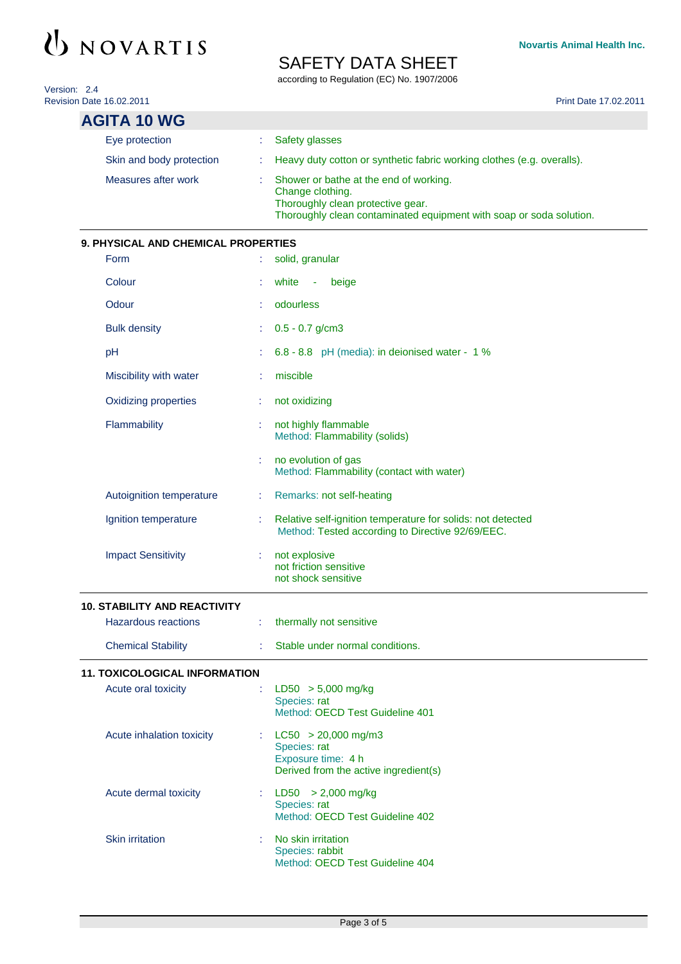

Version: 2.4

| <b>SAFETY DATA SHEET</b> |  |
|--------------------------|--|
|--------------------------|--|

according to Regulation (EC) No. 1907/2006

Thoroughly clean protective gear.

Thoroughly clean contaminated equipment with soap or soda solution.

Revision Date 16.02.2011 Print Date 17.02.2011

# **AGITA 10 WG**  Eye protection **in the Safety glasses** Skin and body protection : Heavy duty cotton or synthetic fabric working clothes (e.g. overalls). Measures after work : Shower or bathe at the end of working. Change clothing.

### **9. PHYSICAL AND CHEMICAL PROPERTIES**

| Form                                |    | solid, granular                                                                                                 |
|-------------------------------------|----|-----------------------------------------------------------------------------------------------------------------|
| Colour                              |    | white<br>beige<br>$\omega$                                                                                      |
| Odour                               |    | odourless                                                                                                       |
| <b>Bulk density</b>                 |    | $0.5 - 0.7$ g/cm3                                                                                               |
| pH                                  |    | 6.8 - 8.8 pH (media): in deionised water - 1 %                                                                  |
| Miscibility with water              |    | miscible                                                                                                        |
| Oxidizing properties                |    | not oxidizing                                                                                                   |
| Flammability                        |    | not highly flammable<br>Method: Flammability (solids)                                                           |
|                                     | t. | no evolution of gas<br>Method: Flammability (contact with water)                                                |
| Autoignition temperature            | ÷. | Remarks: not self-heating                                                                                       |
| Ignition temperature                | ÷. | Relative self-ignition temperature for solids: not detected<br>Method: Tested according to Directive 92/69/EEC. |
| <b>Impact Sensitivity</b>           | ÷  | not explosive<br>not friction sensitive<br>not shock sensitive                                                  |
| <b>10. STABILITY AND REACTIVITY</b> |    |                                                                                                                 |
| Hazardous reactions                 | t. | thermally not sensitive                                                                                         |
| <b>Chemical Stability</b>           |    | Stable under normal conditions.                                                                                 |

## **11. TOXICOLOGICAL INFORMATION**

| Acute oral toxicity       | $LD50 > 5,000$ mg/kg<br>Species: rat<br>Method: OECD Test Guideline 401                              |
|---------------------------|------------------------------------------------------------------------------------------------------|
| Acute inhalation toxicity | $LC50 > 20,000$ mg/m3<br>Species: rat<br>Exposure time: 4 h<br>Derived from the active ingredient(s) |
| Acute dermal toxicity     | : $LD50 > 2,000 \text{ mg/kg}$<br>Species: rat<br>Method: OECD Test Guideline 402                    |
| <b>Skin irritation</b>    | No skin irritation<br>Species: rabbit<br>Method: OECD Test Guideline 404                             |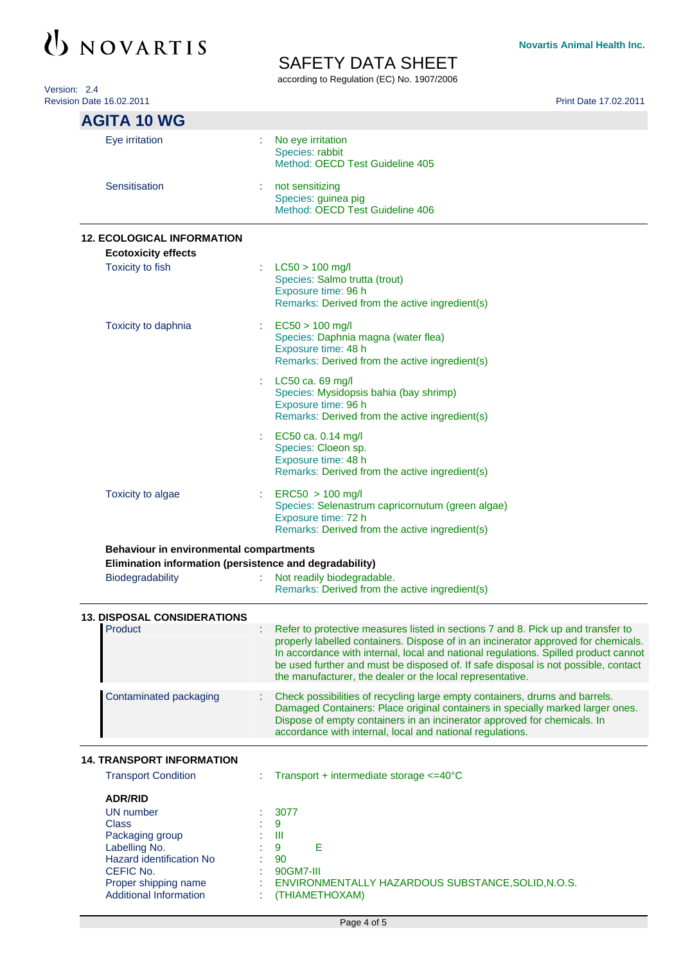

according to Regulation (EC) No. 1907/2006 Version: 2.4 Revision Date 16.02.2011 Print Date 17.02.2011 **AGITA 10 WG**  Eye irritation : No eye irritation Species: rabbit Method: OECD Test Guideline 405 Sensitisation : not sensitizing Species: guinea pig Method: OECD Test Guideline 406 **12. ECOLOGICAL INFORMATION Ecotoxicity effects**  Toxicity to fish : LC50 > 100 mg/l Species: Salmo trutta (trout) Exposure time: 96 h Remarks: Derived from the active ingredient(s) Toxicity to daphnia : EC50 > 100 mg/l Species: Daphnia magna (water flea) Exposure time: 48 h Remarks: Derived from the active ingredient(s) LC50 ca. 69 mg/l Species: Mysidopsis bahia (bay shrimp) Exposure time: 96 h Remarks: Derived from the active ingredient(s) : EC50 ca. 0.14 mg/l Species: Cloeon sp. Exposure time: 48 h Remarks: Derived from the active ingredient(s) Toxicity to algae : ERC50 > 100 mg/l Species: Selenastrum capricornutum (green algae) Exposure time: 72 h Remarks: Derived from the active ingredient(s) **Behaviour in environmental compartments Elimination information (persistence and degradability)**  Biodegradability : Not readily biodegradable. Remarks: Derived from the active ingredient(s) **13. DISPOSAL CONSIDERATIONS** Product : Refer to protective measures listed in sections 7 and 8. Pick up and transfer to properly labelled containers. Dispose of in an incinerator approved for chemicals. In accordance with internal, local and national regulations. Spilled product cannot be used further and must be disposed of. If safe disposal is not possible, contact the manufacturer, the dealer or the local representative. Contaminated packaging : Check possibilities of recycling large empty containers, drums and barrels. Damaged Containers: Place original containers in specially marked larger ones. Dispose of empty containers in an incinerator approved for chemicals. In accordance with internal, local and national regulations. **14. TRANSPORT INFORMATION** Transport Condition : Transport + intermediate storage <=40°C **ADR/RID**  UN number : 3077 Class : 9 Packaging group : III Labelling No. : 9 E Hazard identification No : 90 CEFIC No.  $\qquad \qquad : \quad 90$ GM7-III Proper shipping name : ENVIRONMENTALLY HAZARDOUS SUBSTANCE, SOLID, N.O.S.

SAFETY DATA SHEET

Additional Information : (THIAMETHOXAM)

**Novartis Animal Health Inc.**